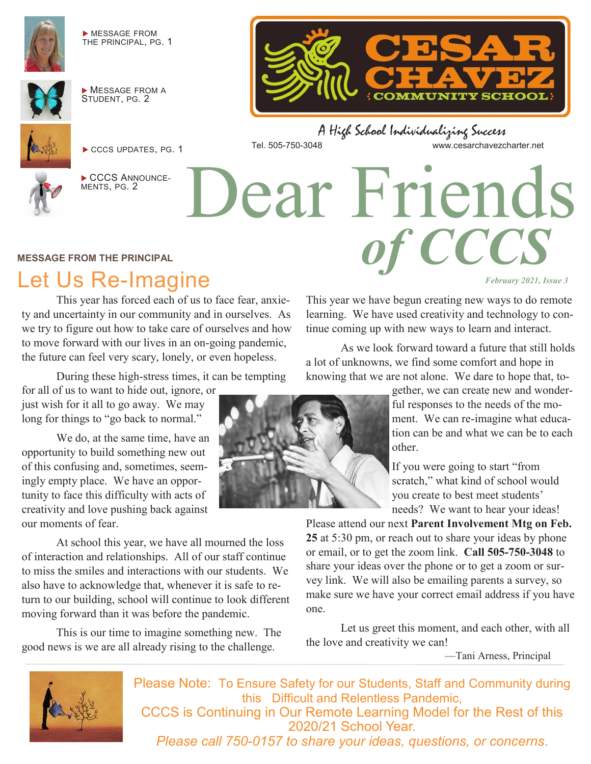

 MESSAGE FROM THE PRINCIPAL, PG. 1



 MESSAGE FROM A STUDENT, PG. 2



CCCS UPDATES, PG. 1



CCCS ANNOUNCE-MENTS, PG. 2

**COMMUNITY SCHOOL** 

Dear Friends

A High School Individualizing Success Tel. 505-750-3048 www.cesarchavezcharter.net

#### **MESSAGE FROM THE PRINCIPAL**

# Let Us Re-Imagine

This year has forced each of us to face fear, anxiety and uncertainty in our community and in ourselves. As we try to figure out how to take care of ourselves and how to move forward with our lives in an on-going pandemic, the future can feel very scary, lonely, or even hopeless.

During these high-stress times, it can be tempting

for all of us to want to hide out, ignore, or just wish for it all to go away. We may long for things to "go back to normal."

We do, at the same time, have an opportunity to build something new out of this confusing and, sometimes, seemingly empty place. We have an opportunity to face this difficulty with acts of creativity and love pushing back against our moments of fear.

At school this year, we have all mourned the loss of interaction and relationships. All of our staff continue to miss the smiles and interactions with our students. We also have to acknowledge that, whenever it is safe to return to our building, school will continue to look different moving forward than it was before the pandemic.

This is our time to imagine something new. The good news is we are all already rising to the challenge.



*February 2021, Issue 3* 

This year we have begun creating new ways to do remote learning. We have used creativity and technology to continue coming up with new ways to learn and interact.

*of CCCS*

As we look forward toward a future that still holds a lot of unknowns, we find some comfort and hope in knowing that we are not alone. We dare to hope that, to-

> gether, we can create new and wonderful responses to the needs of the moment. We can re-imagine what education can be and what we can be to each other.

If you were going to start "from scratch," what kind of school would you create to best meet students' needs? We want to hear your ideas!

Please attend our next **Parent Involvement Mtg on Feb. 25** at 5:30 pm, or reach out to share your ideas by phone or email, or to get the zoom link. **Call 505-750-3048** to share your ideas over the phone or to get a zoom or survey link. We will also be emailing parents a survey, so make sure we have your correct email address if you have one.

Let us greet this moment, and each other, with all the love and creativity we can!

—Tani Arness, Principal



Please Note: To Ensure Safety for our Students, Staff and Community during this Difficult and Relentless Pandemic, CCCS is Continuing in Our Remote Learning Model for the Rest of this 2020/21 School Year. *Please call 750-0157 to share your ideas, questions, or concerns*.